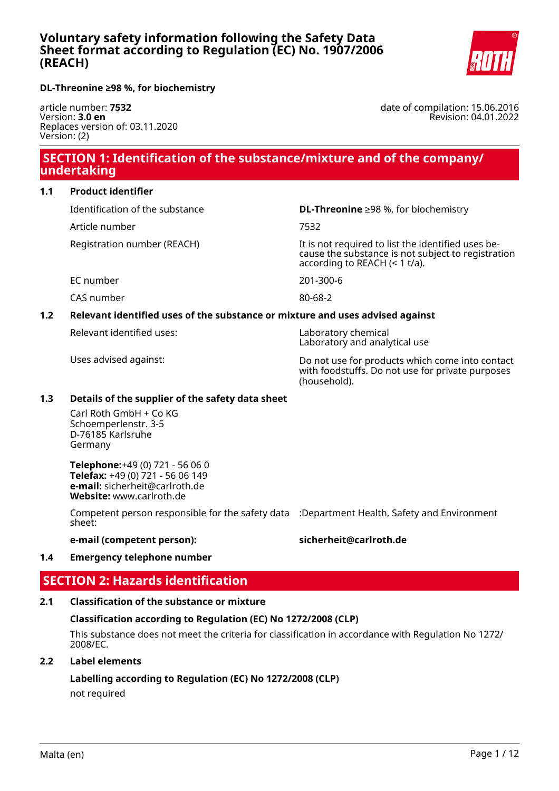

**DL-Threonine ≥98 %, for biochemistry**

article number: **7532** Version: **3.0 en** Replaces version of: 03.11.2020 Version: (2)

date of compilation: 15.06.2016 Revision: 04.01.2022

# **SECTION 1: Identification of the substance/mixture and of the company/ undertaking**

## **1.1 Product identifier**

Identification of the substance **DL-Threonine** ≥98 %, for biochemistry

Article number 7532

Registration number (REACH) The state of the identified uses because the substance is not subject to registration according to REACH (< 1 t/a).

EC number 201-300-6

CAS number 80-68-2

## **1.2 Relevant identified uses of the substance or mixture and uses advised against**

Relevant identified uses: Laboratory chemical

Laboratory and analytical use

Uses advised against: Do not use for products which come into contact with foodstuffs. Do not use for private purposes (household).

## **1.3 Details of the supplier of the safety data sheet**

Carl Roth GmbH + Co KG Schoemperlenstr. 3-5 D-76185 Karlsruhe Germany

**Telephone:**+49 (0) 721 - 56 06 0 **Telefax:** +49 (0) 721 - 56 06 149 **e-mail:** sicherheit@carlroth.de **Website:** www.carlroth.de

Competent person responsible for the safety data :Department Health, Safety and Environment sheet:

**e-mail (competent person): sicherheit@carlroth.de**

## **1.4 Emergency telephone number**

# **SECTION 2: Hazards identification**

## **2.1 Classification of the substance or mixture**

## **Classification according to Regulation (EC) No 1272/2008 (CLP)**

This substance does not meet the criteria for classification in accordance with Regulation No 1272/ 2008/EC.

## **2.2 Label elements**

**Labelling according to Regulation (EC) No 1272/2008 (CLP)**

not required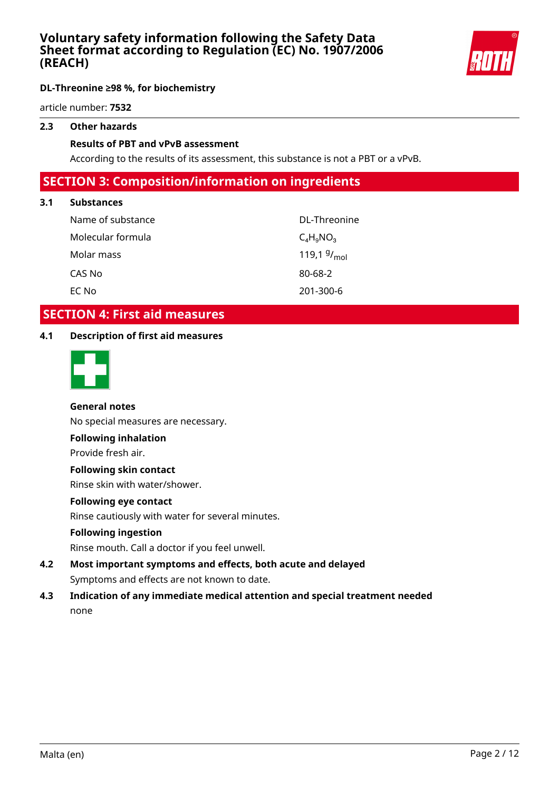

article number: **7532**

## **2.3 Other hazards**

## **Results of PBT and vPvB assessment**

According to the results of its assessment, this substance is not a PBT or a vPvB.

# **SECTION 3: Composition/information on ingredients**

## **3.1 Substances**

| Name of substance | DL-Threonine            |
|-------------------|-------------------------|
| Molecular formula | $C_4H_9NO_3$            |
| Molar mass        | 119,1 $9/_{\text{mol}}$ |
| CAS No            | 80-68-2                 |
| EC No             | 201-300-6               |

# **SECTION 4: First aid measures**

## **4.1 Description of first aid measures**



## **General notes**

No special measures are necessary.

## **Following inhalation**

Provide fresh air.

## **Following skin contact**

Rinse skin with water/shower.

## **Following eye contact**

Rinse cautiously with water for several minutes.

## **Following ingestion**

Rinse mouth. Call a doctor if you feel unwell.

- **4.2 Most important symptoms and effects, both acute and delayed** Symptoms and effects are not known to date.
- **4.3 Indication of any immediate medical attention and special treatment needed** none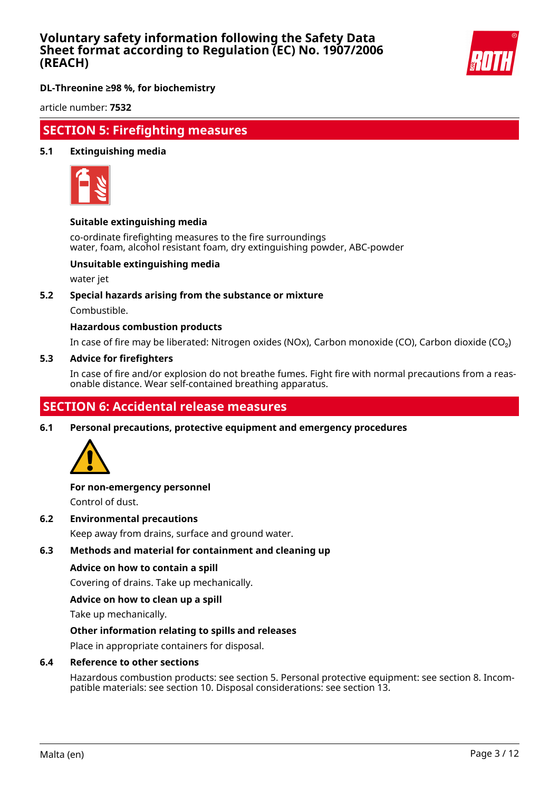

**DL-Threonine ≥98 %, for biochemistry**

article number: **7532**

# **SECTION 5: Firefighting measures**

## **5.1 Extinguishing media**



## **Suitable extinguishing media**

co-ordinate firefighting measures to the fire surroundings water, foam, alcohol resistant foam, dry extinguishing powder, ABC-powder

## **Unsuitable extinguishing media**

water jet

## **5.2 Special hazards arising from the substance or mixture**

Combustible.

## **Hazardous combustion products**

In case of fire may be liberated: Nitrogen oxides (NOx), Carbon monoxide (CO), Carbon dioxide (CO₂)

#### **5.3 Advice for firefighters**

In case of fire and/or explosion do not breathe fumes. Fight fire with normal precautions from a reasonable distance. Wear self-contained breathing apparatus.

# **SECTION 6: Accidental release measures**

**6.1 Personal precautions, protective equipment and emergency procedures**



# **For non-emergency personnel**

Control of dust.

**6.2 Environmental precautions**

Keep away from drains, surface and ground water.

## **6.3 Methods and material for containment and cleaning up**

## **Advice on how to contain a spill**

Covering of drains. Take up mechanically.

## **Advice on how to clean up a spill**

Take up mechanically.

## **Other information relating to spills and releases**

Place in appropriate containers for disposal.

## **6.4 Reference to other sections**

Hazardous combustion products: see section 5. Personal protective equipment: see section 8. Incompatible materials: see section 10. Disposal considerations: see section 13.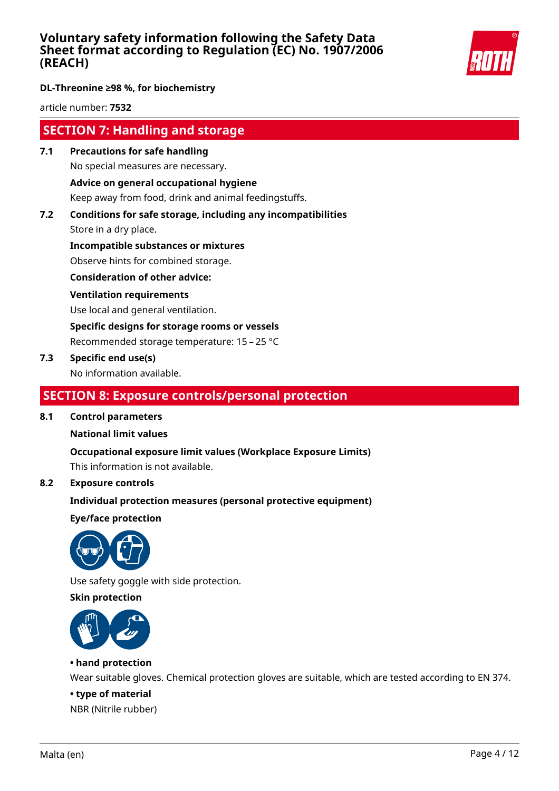

## **DL-Threonine ≥98 %, for biochemistry**

article number: **7532**

# **SECTION 7: Handling and storage**

**7.1 Precautions for safe handling** No special measures are necessary.

## **Advice on general occupational hygiene**

Keep away from food, drink and animal feedingstuffs.

**7.2 Conditions for safe storage, including any incompatibilities**

Store in a dry place.

**Incompatible substances or mixtures**

Observe hints for combined storage.

**Consideration of other advice:**

## **Ventilation requirements**

Use local and general ventilation.

**Specific designs for storage rooms or vessels**

Recommended storage temperature: 15 – 25 °C

## **7.3 Specific end use(s)**

No information available.

# **SECTION 8: Exposure controls/personal protection**

## **8.1 Control parameters**

## **National limit values**

**Occupational exposure limit values (Workplace Exposure Limits)**

This information is not available.

## **8.2 Exposure controls**

## **Individual protection measures (personal protective equipment)**

**Eye/face protection**



Use safety goggle with side protection.

## **Skin protection**



## **• hand protection**

Wear suitable gloves. Chemical protection gloves are suitable, which are tested according to EN 374.

## **• type of material**

NBR (Nitrile rubber)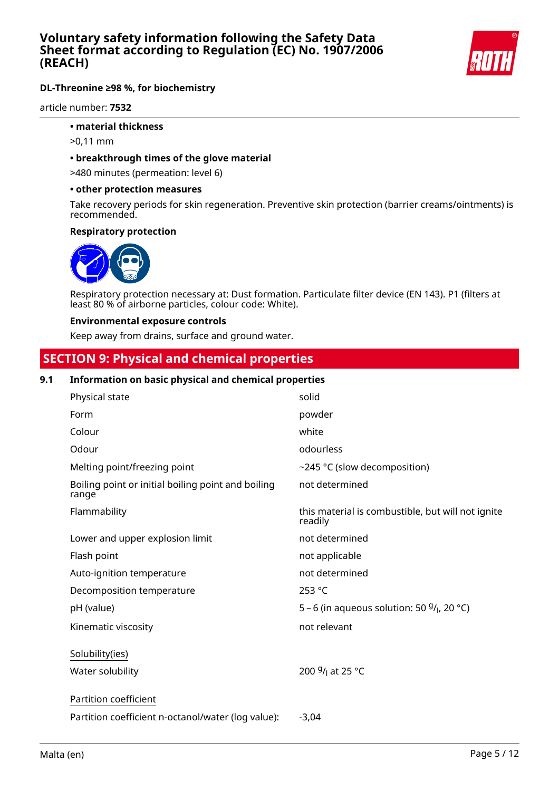

article number: **7532**

## **• material thickness**

- >0,11 mm
- **breakthrough times of the glove material**

>480 minutes (permeation: level 6)

#### **• other protection measures**

Take recovery periods for skin regeneration. Preventive skin protection (barrier creams/ointments) is recommended.

#### **Respiratory protection**



Respiratory protection necessary at: Dust formation. Particulate filter device (EN 143). P1 (filters at least 80 % of airborne particles, colour code: White).

#### **Environmental exposure controls**

Keep away from drains, surface and ground water.

# **SECTION 9: Physical and chemical properties**

## **9.1 Information on basic physical and chemical properties**

| Physical state                                              | solid                                                        |
|-------------------------------------------------------------|--------------------------------------------------------------|
| Form                                                        | powder                                                       |
| Colour                                                      | white                                                        |
| Odour                                                       | odourless                                                    |
| Melting point/freezing point                                | ~245 °C (slow decomposition)                                 |
| Boiling point or initial boiling point and boiling<br>range | not determined                                               |
| Flammability                                                | this material is combustible, but will not ignite<br>readily |
| Lower and upper explosion limit                             | not determined                                               |
| Flash point                                                 | not applicable                                               |
| Auto-ignition temperature                                   | not determined                                               |
| Decomposition temperature                                   | 253 °C                                                       |
| pH (value)                                                  | 5 – 6 (in aqueous solution: 50 $9/1$ , 20 °C)                |
| Kinematic viscosity                                         | not relevant                                                 |
| Solubility(ies)                                             |                                                              |
| Water solubility                                            | 200 <sup>g</sup> / <sub>l</sub> at 25 °C                     |
| Partition coefficient                                       |                                                              |
| Partition coefficient n-octanol/water (log value):          | $-3,04$                                                      |
|                                                             |                                                              |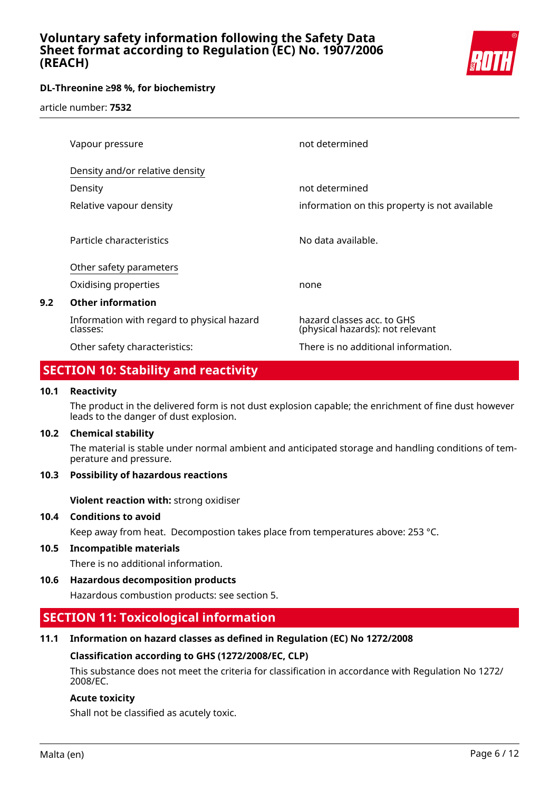

article number: **7532**

| Vapour pressure                                        | not determined                                                 |
|--------------------------------------------------------|----------------------------------------------------------------|
| Density and/or relative density                        |                                                                |
| Density                                                | not determined                                                 |
| Relative vapour density                                | information on this property is not available                  |
|                                                        |                                                                |
| Particle characteristics                               | No data available.                                             |
| Other safety parameters                                |                                                                |
| Oxidising properties                                   | none                                                           |
| <b>Other information</b>                               |                                                                |
| Information with regard to physical hazard<br>classes: | hazard classes acc. to GHS<br>(physical hazards): not relevant |
| Other safety characteristics:                          | There is no additional information.                            |

# **SECTION 10: Stability and reactivity**

## **10.1 Reactivity**

**9.2** 

The product in the delivered form is not dust explosion capable; the enrichment of fine dust however leads to the danger of dust explosion.

## **10.2 Chemical stability**

The material is stable under normal ambient and anticipated storage and handling conditions of temperature and pressure.

## **10.3 Possibility of hazardous reactions**

**Violent reaction with:** strong oxidiser

## **10.4 Conditions to avoid**

Keep away from heat. Decompostion takes place from temperatures above: 253 °C.

**10.5 Incompatible materials**

There is no additional information.

**10.6 Hazardous decomposition products**

Hazardous combustion products: see section 5.

# **SECTION 11: Toxicological information**

## **11.1 Information on hazard classes as defined in Regulation (EC) No 1272/2008**

## **Classification according to GHS (1272/2008/EC, CLP)**

This substance does not meet the criteria for classification in accordance with Regulation No 1272/ 2008/EC.

## **Acute toxicity**

Shall not be classified as acutely toxic.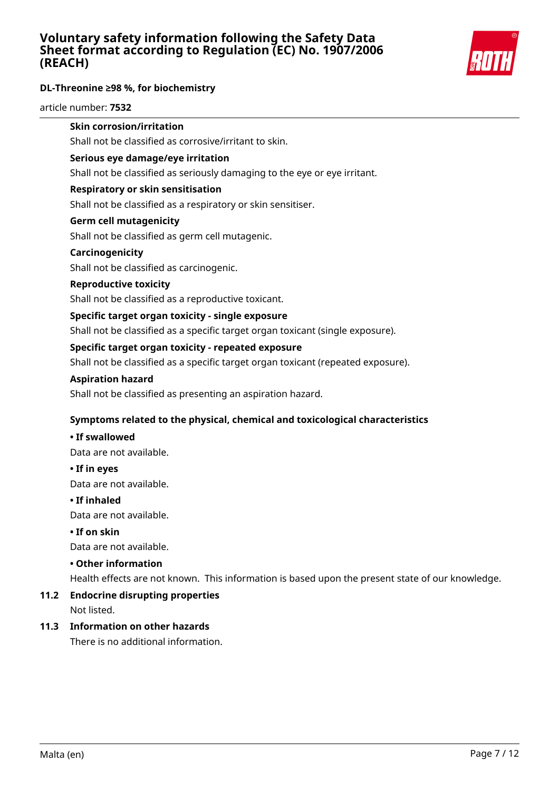

#### article number: **7532**

## **Skin corrosion/irritation**

Shall not be classified as corrosive/irritant to skin.

#### **Serious eye damage/eye irritation**

Shall not be classified as seriously damaging to the eye or eye irritant.

#### **Respiratory or skin sensitisation**

Shall not be classified as a respiratory or skin sensitiser.

#### **Germ cell mutagenicity**

Shall not be classified as germ cell mutagenic.

#### **Carcinogenicity**

Shall not be classified as carcinogenic.

#### **Reproductive toxicity**

Shall not be classified as a reproductive toxicant.

#### **Specific target organ toxicity - single exposure**

Shall not be classified as a specific target organ toxicant (single exposure).

#### **Specific target organ toxicity - repeated exposure**

Shall not be classified as a specific target organ toxicant (repeated exposure).

#### **Aspiration hazard**

Shall not be classified as presenting an aspiration hazard.

## **Symptoms related to the physical, chemical and toxicological characteristics**

#### **• If swallowed**

Data are not available.

#### **• If in eyes**

Data are not available.

## **• If inhaled**

Data are not available.

## **• If on skin**

Data are not available.

## **• Other information**

Health effects are not known. This information is based upon the present state of our knowledge.

## **11.2 Endocrine disrupting properties**

Not listed.

## **11.3 Information on other hazards**

There is no additional information.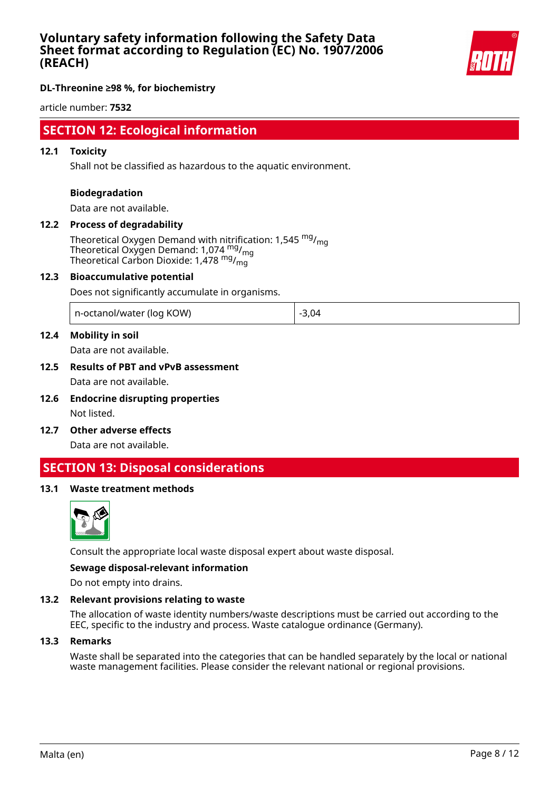

## **DL-Threonine ≥98 %, for biochemistry**

article number: **7532**

# **SECTION 12: Ecological information**

#### **12.1 Toxicity**

Shall not be classified as hazardous to the aquatic environment.

#### **Biodegradation**

Data are not available.

## **12.2 Process of degradability**

Theoretical Oxygen Demand with nitrification: 1,545  $mg/m<sub>on</sub>$ Theoretical Oxygen Demand: 1,074 mg/<sub>mg</sub> Theoretical Carbon Dioxide: 1,478 mg/mg

#### **12.3 Bioaccumulative potential**

Does not significantly accumulate in organisms.

| n-octanol/water (log KOW) | $-3,04$ |
|---------------------------|---------|
|---------------------------|---------|

## **12.4 Mobility in soil**

Data are not available.

## **12.5 Results of PBT and vPvB assessment** Data are not available.

- **12.6 Endocrine disrupting properties** Not listed.
- **12.7 Other adverse effects**

Data are not available.

## **SECTION 13: Disposal considerations**

## **13.1 Waste treatment methods**



Consult the appropriate local waste disposal expert about waste disposal.

## **Sewage disposal-relevant information**

Do not empty into drains.

#### **13.2 Relevant provisions relating to waste**

The allocation of waste identity numbers/waste descriptions must be carried out according to the EEC, specific to the industry and process. Waste catalogue ordinance (Germany).

#### **13.3 Remarks**

Waste shall be separated into the categories that can be handled separately by the local or national waste management facilities. Please consider the relevant national or regional provisions.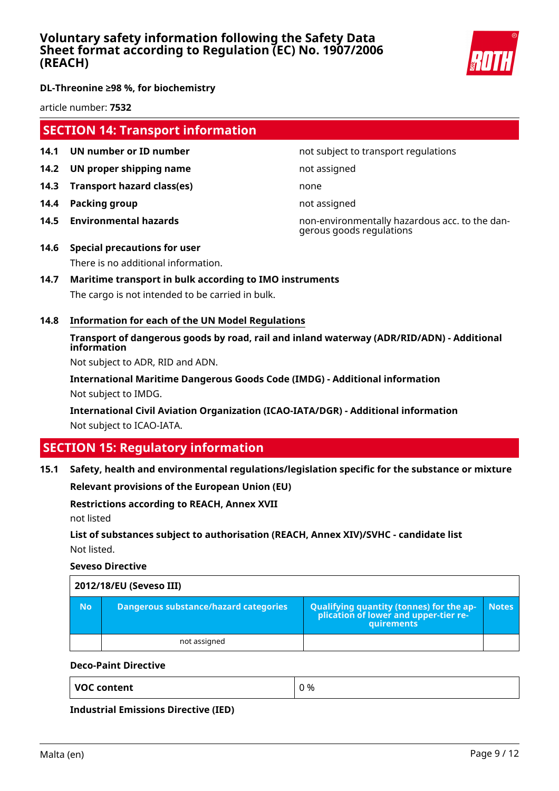

article number: **7532**

# **SECTION 14: Transport information**

- **14.1 UN number or ID number 12.1 14.1 UN number not subject to transport regulations**
- **14.2 UN proper shipping name** not assigned
- **14.3 Transport hazard class(es)** none
- **14.4 Packing group not assigned**
- 

**14.5 Environmental hazards** non-environmentally hazardous acc. to the dangerous goods regulations

- **14.6 Special precautions for user** There is no additional information.
- **14.7 Maritime transport in bulk according to IMO instruments** The cargo is not intended to be carried in bulk.
- **14.8 Information for each of the UN Model Regulations**

## **Transport of dangerous goods by road, rail and inland waterway (ADR/RID/ADN) - Additional information**

Not subject to ADR, RID and ADN.

**International Maritime Dangerous Goods Code (IMDG) - Additional information** Not subject to IMDG.

**International Civil Aviation Organization (ICAO-IATA/DGR) - Additional information** Not subject to ICAO-IATA.

# **SECTION 15: Regulatory information**

## **15.1 Safety, health and environmental regulations/legislation specific for the substance or mixture**

**Relevant provisions of the European Union (EU)**

## **Restrictions according to REACH, Annex XVII**

not listed

## **List of substances subject to authorisation (REACH, Annex XIV)/SVHC - candidate list** Not listed.

**Seveso Directive**

| 2012/18/EU (Seveso III) |                                       |                                                                                            |              |
|-------------------------|---------------------------------------|--------------------------------------------------------------------------------------------|--------------|
| <b>No</b>               | Dangerous substance/hazard categories | Qualifying quantity (tonnes) for the application of lower and upper-tier re-<br>quirements | <b>Notes</b> |
|                         | not assigned                          |                                                                                            |              |

## **Deco-Paint Directive**

| <b>VOC content</b> | 0 % |
|--------------------|-----|
|                    |     |

**Industrial Emissions Directive (IED)**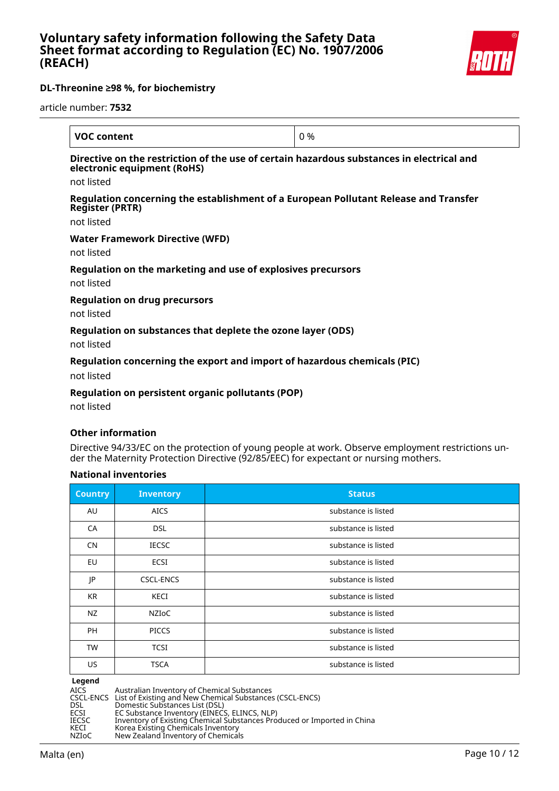

article number: **7532**

| <b>VOC content</b>                                                                                                       | 0 % |
|--------------------------------------------------------------------------------------------------------------------------|-----|
| Directive on the restriction of the use of certain hazardous substances in electrical and<br>electronic equipment (RoHS) |     |
| not listed                                                                                                               |     |
| Regulation concerning the establishment of a European Pollutant Release and Transfer<br><b>Register (PRTR)</b>           |     |
| not listed                                                                                                               |     |
| <b>Water Framework Directive (WFD)</b>                                                                                   |     |
| not listed                                                                                                               |     |
| Regulation on the marketing and use of explosives precursors<br>not listed                                               |     |
| <b>Regulation on drug precursors</b><br>not listed                                                                       |     |
| Regulation on substances that deplete the ozone layer (ODS)                                                              |     |

not listed

## **Regulation concerning the export and import of hazardous chemicals (PIC)**

not listed

## **Regulation on persistent organic pollutants (POP)**

not listed

## **Other information**

Directive 94/33/EC on the protection of young people at work. Observe employment restrictions under the Maternity Protection Directive (92/85/EEC) for expectant or nursing mothers.

## **National inventories**

| <b>Country</b> | <b>Inventory</b> | <b>Status</b>       |
|----------------|------------------|---------------------|
| AU             | <b>AICS</b>      | substance is listed |
| CA             | <b>DSL</b>       | substance is listed |
| <b>CN</b>      | <b>IECSC</b>     | substance is listed |
| EU             | <b>ECSI</b>      | substance is listed |
| JP             | <b>CSCL-ENCS</b> | substance is listed |
| <b>KR</b>      | KECI             | substance is listed |
| NZ             | <b>NZIOC</b>     | substance is listed |
| PH             | <b>PICCS</b>     | substance is listed |
| <b>TW</b>      | <b>TCSI</b>      | substance is listed |
| US             | <b>TSCA</b>      | substance is listed |

**Legend<br>AICS<br>CSCL-ENCS<br>DSL<br>ECSI** AICS Australian Inventory of Chemical Substances CSCL-ENCS List of Existing and New Chemical Substances (CSCL-ENCS) DSL Domestic Substances List (DSL) ECSI EC Substance Inventory (EINECS, ELINCS, NLP) IECSC Inventory of Existing Chemical Substances Produced or Imported in China KECI Korea Existing Chemicals Inventory NZIoC New Zealand Inventory of Chemicals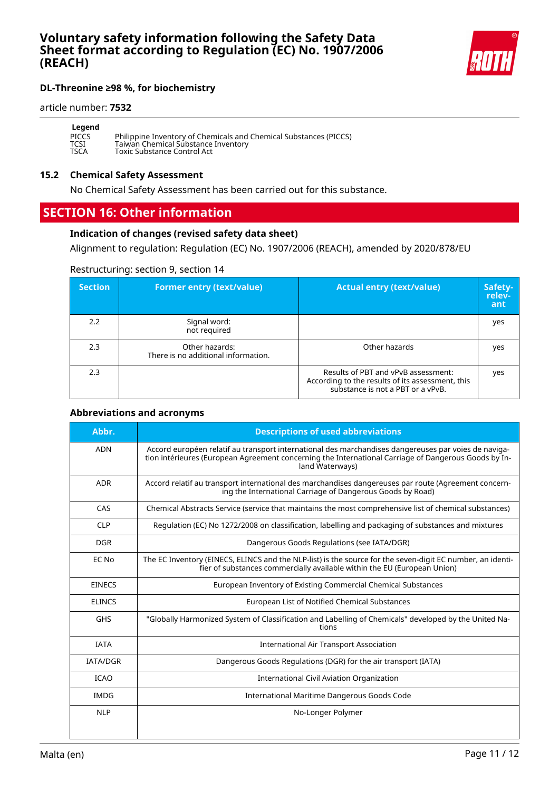

#### article number: **7532**

| Legend       |                                                                   |
|--------------|-------------------------------------------------------------------|
| <b>PICCS</b> | Philippine Inventory of Chemicals and Chemical Substances (PICCS) |
| TCSI         | Taiwan Chemical Substance Inventory                               |
| <b>TSCA</b>  | <b>Toxic Substance Control Act</b>                                |

#### **15.2 Chemical Safety Assessment**

No Chemical Safety Assessment has been carried out for this substance.

## **SECTION 16: Other information**

## **Indication of changes (revised safety data sheet)**

Alignment to regulation: Regulation (EC) No. 1907/2006 (REACH), amended by 2020/878/EU

## Restructuring: section 9, section 14

| <b>Section</b> | <b>Former entry (text/value)</b>                      | <b>Actual entry (text/value)</b>                                                                                             | Safety-<br>relev-<br>ant |
|----------------|-------------------------------------------------------|------------------------------------------------------------------------------------------------------------------------------|--------------------------|
| 2.2            | Signal word:<br>not required                          |                                                                                                                              | yes                      |
| 2.3            | Other hazards:<br>There is no additional information. | Other hazards                                                                                                                | yes                      |
| 2.3            |                                                       | Results of PBT and vPvB assessment:<br>According to the results of its assessment, this<br>substance is not a PBT or a vPvB. | yes                      |

## **Abbreviations and acronyms**

| Abbr.           | <b>Descriptions of used abbreviations</b>                                                                                                                                                                                       |
|-----------------|---------------------------------------------------------------------------------------------------------------------------------------------------------------------------------------------------------------------------------|
| <b>ADN</b>      | Accord européen relatif au transport international des marchandises dangereuses par voies de naviga-<br>tion intérieures (European Agreement concerning the International Carriage of Dangerous Goods by In-<br>land Waterways) |
| <b>ADR</b>      | Accord relatif au transport international des marchandises dangereuses par route (Agreement concern-<br>ing the International Carriage of Dangerous Goods by Road)                                                              |
| CAS             | Chemical Abstracts Service (service that maintains the most comprehensive list of chemical substances)                                                                                                                          |
| <b>CLP</b>      | Regulation (EC) No 1272/2008 on classification, labelling and packaging of substances and mixtures                                                                                                                              |
| <b>DGR</b>      | Dangerous Goods Regulations (see IATA/DGR)                                                                                                                                                                                      |
| EC No           | The EC Inventory (EINECS, ELINCS and the NLP-list) is the source for the seven-digit EC number, an identi-<br>fier of substances commercially available within the EU (European Union)                                          |
| <b>EINECS</b>   | European Inventory of Existing Commercial Chemical Substances                                                                                                                                                                   |
| <b>ELINCS</b>   | European List of Notified Chemical Substances                                                                                                                                                                                   |
| <b>GHS</b>      | "Globally Harmonized System of Classification and Labelling of Chemicals" developed by the United Na-<br>tions                                                                                                                  |
| <b>IATA</b>     | <b>International Air Transport Association</b>                                                                                                                                                                                  |
| <b>IATA/DGR</b> | Dangerous Goods Regulations (DGR) for the air transport (IATA)                                                                                                                                                                  |
| <b>ICAO</b>     | International Civil Aviation Organization                                                                                                                                                                                       |
| <b>IMDG</b>     | International Maritime Dangerous Goods Code                                                                                                                                                                                     |
| <b>NLP</b>      | No-Longer Polymer                                                                                                                                                                                                               |